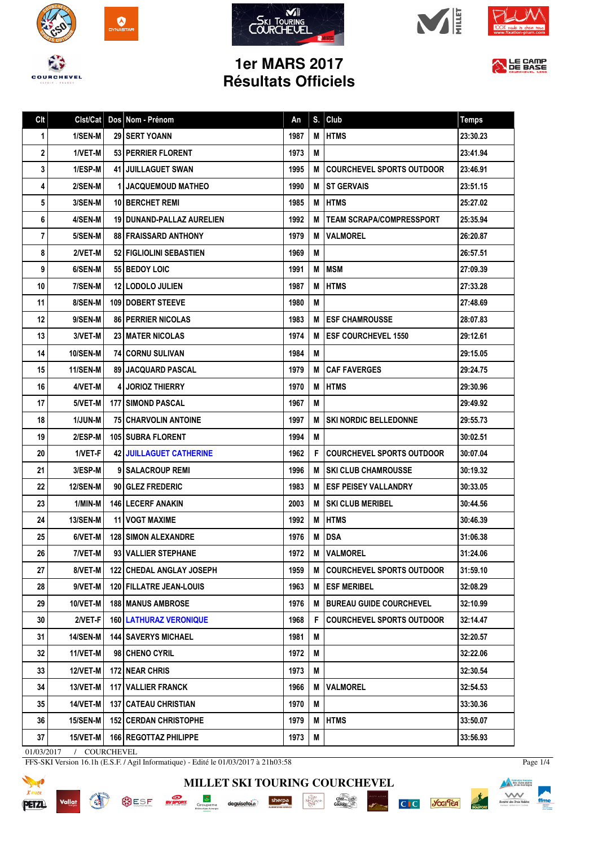









LE CAMP

## **1er MARS 2017 Résultats Officiels**

| Clt | Clst/Cat        | Dos Nom - Prénom                | An   | S. | Club                             | <b>Temps</b> |
|-----|-----------------|---------------------------------|------|----|----------------------------------|--------------|
| 1   | 1/SEN-M         | <b>29 ISERT YOANN</b>           | 1987 | М  | <b>HTMS</b>                      | 23:30.23     |
| 2   | 1/VET-M         | 53 PERRIER FLORENT              | 1973 | M  |                                  | 23:41.94     |
| 3   | 1/ESP-M         | <b>41 JUILLAGUET SWAN</b>       | 1995 | M  | <b>COURCHEVEL SPORTS OUTDOOR</b> | 23:46.91     |
| 4   | 2/SEN-M         | <b>1 JACQUEMOUD MATHEO</b>      | 1990 | M  | <b>ST GERVAIS</b>                | 23:51.15     |
| 5   | 3/SEN-M         | <b>10 BERCHET REMI</b>          | 1985 | M  | <b>HTMS</b>                      | 25:27.02     |
| 6   | 4/SEN-M         | 19 DUNAND-PALLAZ AURELIEN       | 1992 | M  | <b>TEAM SCRAPA/COMPRESSPORT</b>  | 25:35.94     |
| 7   | 5/SEN-M         | <b>88 FRAISSARD ANTHONY</b>     | 1979 | M  | <b>VALMOREL</b>                  | 26:20.87     |
| 8   | 2/VET-M         | 52   FIGLIOLINI SEBASTIEN       | 1969 | M  |                                  | 26:57.51     |
| 9   | 6/SEN-M         | 55 BEDOY LOIC                   | 1991 | М  | <b>IMSM</b>                      | 27:09.39     |
| 10  | 7/SEN-M         | <b>12 I LODOLO JULIEN</b>       | 1987 | M  | <b>HTMS</b>                      | 27:33.28     |
| 11  | 8/SEN-M         | <b>109 I DOBERT STEEVE</b>      | 1980 | M  |                                  | 27:48.69     |
| 12  | 9/SEN-M         | <b>86   PERRIER NICOLAS</b>     | 1983 | M  | <b>ESF CHAMROUSSE</b>            | 28:07.83     |
| 13  | 3/VET-M         | <b>23 I MATER NICOLAS</b>       | 1974 | M  | <b>ESF COURCHEVEL 1550</b>       | 29:12.61     |
| 14  | 10/SEN-M        | <b>74 CORNU SULIVAN</b>         | 1984 | M  |                                  | 29:15.05     |
| 15  | 11/SEN-M        | <b>89   JACQUARD PASCAL</b>     | 1979 | М  | <b>CAF FAVERGES</b>              | 29:24.75     |
| 16  | 4/VET-M         | 4 I JORIOZ THIERRY              | 1970 | М  | <b>HTMS</b>                      | 29:30.96     |
| 17  | 5/VET-M         | <b>177 I SIMOND PASCAL</b>      | 1967 | M  |                                  | 29:49.92     |
| 18  | 1/JUN-M         | <b>75 CHARVOLIN ANTOINE</b>     | 1997 | M  | <b>SKI NORDIC BELLEDONNE</b>     | 29:55.73     |
| 19  | 2/ESP-M         | <b>105 I SUBRA FLORENT</b>      | 1994 | M  |                                  | 30:02.51     |
| 20  | 1/VET-F         | <b>42 JUILLAGUET CATHERINE</b>  | 1962 | F  | <b>COURCHEVEL SPORTS OUTDOOR</b> | 30:07.04     |
| 21  | 3/ESP-M         | 9 SALACROUP REMI                | 1996 | M  | <b>SKI CLUB CHAMROUSSE</b>       | 30:19.32     |
| 22  | <b>12/SEN-M</b> | 90 GLEZ FREDERIC                | 1983 | M  | <b>ESF PEISEY VALLANDRY</b>      | 30:33.05     |
| 23  | 1/MIN-M         | <b>146 I LECERF ANAKIN</b>      | 2003 | M  | <b>SKI CLUB MERIBEL</b>          | 30:44.56     |
| 24  | <b>13/SEN-M</b> | <b>11 I VOGT MAXIME</b>         | 1992 | M  | <b>HTMS</b>                      | 30:46.39     |
| 25  | 6/VET-M         | <b>128 SIMON ALEXANDRE</b>      | 1976 | М  | <b>DSA</b>                       | 31:06.38     |
| 26  | 7/VET-MI        | 93   VALLIER STEPHANE           | 1972 | M  | <b>VALMOREL</b>                  | 31:24.06     |
| 27  | 8/VET-M         | <b>122 CHEDAL ANGLAY JOSEPH</b> | 1959 | M  | <b>COURCHEVEL SPORTS OUTDOOR</b> | 31:59.10     |
| 28  | 9/VET-M         | <b>120 FILLATRE JEAN-LOUIS</b>  | 1963 | M  | <b>ESF MERIBEL</b>               | 32:08.29     |
| 29  | 10/VET-M        | <b>188 MANUS AMBROSE</b>        | 1976 | M  | <b>BUREAU GUIDE COURCHEVEL</b>   | 32:10.99     |
| 30  | 2/VET-F         | <b>160   LATHURAZ VERONIQUE</b> | 1968 | F  | <b>COURCHEVEL SPORTS OUTDOOR</b> | 32:14.47     |
| 31  | <b>14/SEN-M</b> | <b>144   SAVERYS MICHAEL</b>    | 1981 | Μ  |                                  | 32:20.57     |
| 32  | 11/VET-M        | 98 CHENO CYRIL                  | 1972 | Μ  |                                  | 32:22.06     |
| 33  | 12/VET-M        | <b>172 NEAR CHRIS</b>           | 1973 | M  |                                  | 32:30.54     |
| 34  | 13/VET-M        | 117   VALLIER FRANCK            | 1966 | M  | <b>VALMOREL</b>                  | 32:54.53     |
| 35  | 14/VET-M        | 137 CATEAU CHRISTIAN            | 1970 | Μ  |                                  | 33:30.36     |
| 36  | <b>15/SEN-M</b> | <b>152 CERDAN CHRISTOPHE</b>    | 1979 | Μ  | <b>HTMS</b>                      | 33:50.07     |
| 37  | 15/VET-M        | <b>166   REGOTTAZ PHILIPPE</b>  | 1973 | Μ  |                                  | 33:56.93     |

**MILLET SKI TOURING COURCHEVEL**

01/03/2017 / COURCHEVEL

Vallat

**READ** 

FFS-SKI Version 16.1h (E.S.F. / Agil Informatique) - Edité le 01/03/2017 à 21h03:58

SILSE **EVERENT CONVERTING CONSERVANCE** Sherpa



Page 1/4

**Exploration francaise**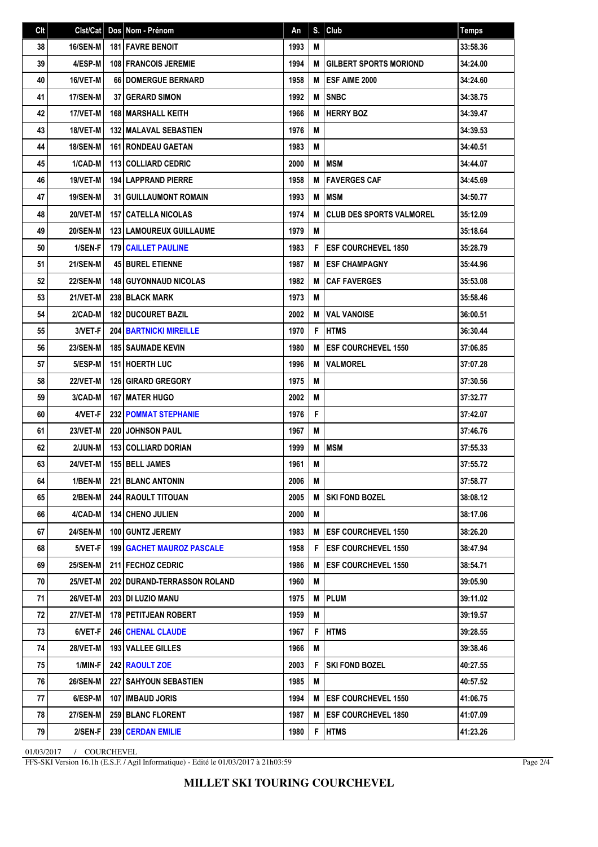| Clt | Clst/Cat        | Dos Nom - Prénom                   | An   | S. | Club                            | <b>Temps</b> |
|-----|-----------------|------------------------------------|------|----|---------------------------------|--------------|
| 38  | 16/SEN-M        | <b>181 FAVRE BENOIT</b>            | 1993 | M  |                                 | 33:58.36     |
| 39  | 4/ESP-M         | <b>108 FRANCOIS JEREMIE</b>        | 1994 | M  | <b>GILBERT SPORTS MORIOND</b>   | 34:24.00     |
| 40  | 16/VET-M        | 66 DOMERGUE BERNARD                | 1958 | M  | <b>ESF AIME 2000</b>            | 34:24.60     |
| 41  | 17/SEN-M        | 37 GERARD SIMON                    | 1992 | M  | <b>SNBC</b>                     | 34:38.75     |
| 42  | 17/VET-M        | 168 MARSHALL KEITH                 | 1966 | M  | <b>HERRY BOZ</b>                | 34:39.47     |
| 43  | 18/VET-M        | <b>132   MALAVAL SEBASTIEN</b>     | 1976 | M  |                                 | 34:39.53     |
| 44  | <b>18/SEN-M</b> | 161 RONDEAU GAETAN                 | 1983 | M  |                                 | 34:40.51     |
| 45  | 1/CAD-M         | 113 COLLIARD CEDRIC                | 2000 | M  | <b>MSM</b>                      | 34:44.07     |
| 46  | 19/VET-M        | <b>194 LAPPRAND PIERRE</b>         | 1958 | M  | <b>FAVERGES CAF</b>             | 34:45.69     |
| 47  | 19/SEN-M        | <b>31 GUILLAUMONT ROMAIN</b>       | 1993 | M  | <b>MSM</b>                      | 34:50.77     |
| 48  | 20/VET-M        | <b>157   CATELLA NICOLAS</b>       | 1974 | M  | <b>CLUB DES SPORTS VALMOREL</b> | 35:12.09     |
| 49  | <b>20/SEN-M</b> | <b>123 LAMOUREUX GUILLAUME</b>     | 1979 | M  |                                 | 35:18.64     |
| 50  | 1/SEN-F         | <b>179 CAILLET PAULINE</b>         | 1983 | F  | <b>IESF COURCHEVEL 1850</b>     | 35:28.79     |
| 51  | <b>21/SEN-M</b> | <b>45 BUREL ETIENNE</b>            | 1987 | M  | <b>LESF CHAMPAGNY</b>           | 35:44.96     |
| 52  | <b>22/SEN-M</b> | <b>148 GUYONNAUD NICOLAS</b>       | 1982 | M  | <b>CAF FAVERGES</b>             | 35:53.08     |
| 53  | 21/VET-M        | 238 BLACK MARK                     | 1973 | M  |                                 | 35:58.46     |
| 54  | 2/CAD-M         | <b>182 DUCOURET BAZIL</b>          | 2002 | M  | <b>VAL VANOISE</b>              | 36:00.51     |
| 55  | 3/VET-F         | <b>204 BARTNICKI MIREILLE</b>      | 1970 | F  | <b>HTMS</b>                     | 36:30.44     |
| 56  | <b>23/SEN-M</b> | <b>185   SAUMADE KEVIN</b>         | 1980 | M  | <b>ESF COURCHEVEL 1550</b>      | 37:06.85     |
| 57  | 5/ESP-M         | <b>151 HOERTH LUC</b>              | 1996 | M  | <b>VALMOREL</b>                 | 37:07.28     |
| 58  | 22/VET-M        | <b>126 GIRARD GREGORY</b>          | 1975 | M  |                                 | 37:30.56     |
| 59  | 3/CAD-M         | <b>167 MATER HUGO</b>              | 2002 | M  |                                 | 37:32.77     |
| 60  | 4/VET-F         | <b>232 POMMAT STEPHANIE</b>        | 1976 | F  |                                 | 37:42.07     |
| 61  | <b>23/VET-M</b> | <b>220 JOHNSON PAUL</b>            | 1967 | M  |                                 | 37:46.76     |
| 62  | 2/JUN-M         | 153 COLLIARD DORIAN                | 1999 | M  | <b>IMSM</b>                     | 37:55.33     |
| 63  | <b>24/VET-M</b> | 155 BELL JAMES                     | 1961 | M  |                                 | 37:55.72     |
| 64  | 1/BEN-M         | 221 BLANC ANTONIN                  | 2006 | M  |                                 | 37:58.77     |
| 65  | 2/BEN-M         | <b>244 RAOULT TITOUAN</b>          | 2005 | M  | SKI FOND BOZEL                  | 38:08.12     |
| 66  | 4/CAD-M         | <b>134   CHENO JULIEN</b>          | 2000 | M  |                                 | 38:17.06     |
| 67  | <b>24/SEN-M</b> | 100 GUNTZ JEREMY                   | 1983 | M  | <b>IESF COURCHEVEL 1550</b>     | 38:26.20     |
| 68  | 5/VET-F         | <b>199 GACHET MAUROZ PASCALE</b>   | 1958 | F  | <b>ESF COURCHEVEL 1550</b>      | 38:47.94     |
| 69  | <b>25/SEN-M</b> | <b>211 FECHOZ CEDRIC</b>           | 1986 | M  | <b>ESF COURCHEVEL 1550</b>      | 38:54.71     |
| 70  | 25/VET-M        | <b>202 DURAND-TERRASSON ROLAND</b> | 1960 | M  |                                 | 39:05.90     |
| 71  | 26/VET-M        | <b>203 DI LUZIO MANU</b>           | 1975 | M  | <b>PLUM</b>                     | 39:11.02     |
| 72  | 27/VET-M        | 178 PETITJEAN ROBERT               | 1959 | M  |                                 | 39:19.57     |
| 73  | 6/VET-F         | <b>246 CHENAL CLAUDE</b>           | 1967 | F  | <b>HTMS</b>                     | 39:28.55     |
| 74  | <b>28/VET-M</b> | 193 VALLEE GILLES                  | 1966 | M  |                                 | 39:38.46     |
| 75  | 1/MIN-F         | 242 RAOULT ZOE                     | 2003 | F  | <b>SKI FOND BOZEL</b>           | 40:27.55     |
| 76  | 26/SEN-M        | <b>227   SAHYOUN SEBASTIEN</b>     | 1985 | M  |                                 | 40:57.52     |
| 77  | 6/ESP-M         | <b>107 IIMBAUD JORIS</b>           | 1994 | M  | <b>IESF COURCHEVEL 1550</b>     | 41:06.75     |
| 78  | <b>27/SEN-M</b> | <b>259 BLANC FLORENT</b>           | 1987 | M  | <b>IESF COURCHEVEL 1850</b>     | 41:07.09     |
| 79  | 2/SEN-F         | 239 CERDAN EMILIE                  | 1980 | F  | <b>HTMS</b>                     | 41:23.26     |

01/03/2017 / COURCHEVEL

FFS-SKI Version 16.1h (E.S.F. / Agil Informatique) - Edité le 01/03/2017 à 21h03:59

Page 2/4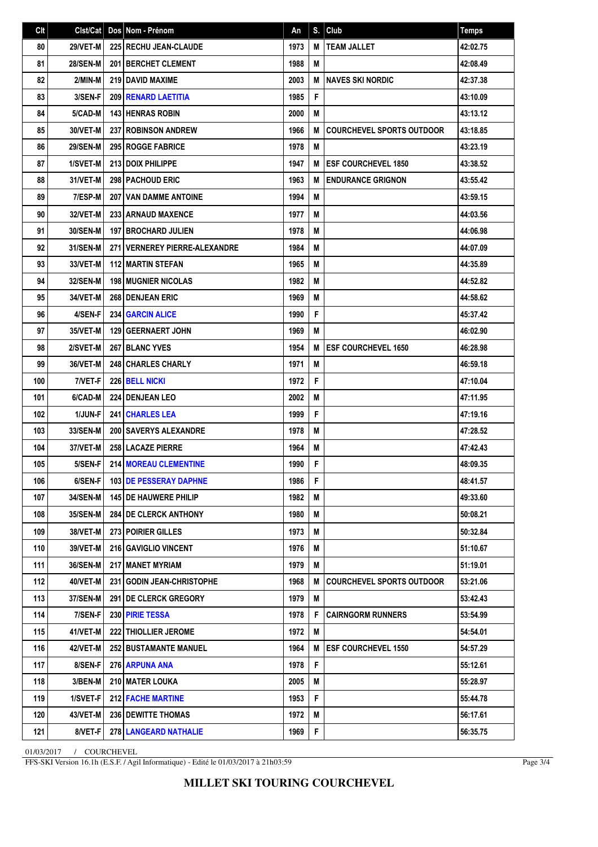| C <sub>It</sub> | Clst/Cat        | Dos Nom - Prénom               | An   | S. | Club                             | <b>Temps</b> |
|-----------------|-----------------|--------------------------------|------|----|----------------------------------|--------------|
| 80              | 29/VET-M        | 225 RECHU JEAN-CLAUDE          | 1973 | M  | <b>TEAM JALLET</b>               | 42:02.75     |
| 81              | <b>28/SEN-M</b> | 201 BERCHET CLEMENT            | 1988 | M  |                                  | 42:08.49     |
| 82              | 2/MIN-M         | 219 DAVID MAXIME               | 2003 | M  | I NAVES SKI NORDIC               | 42:37.38     |
| 83              | 3/SEN-F         | <b>209 RENARD LAETITIA</b>     | 1985 | F  |                                  | 43:10.09     |
| 84              | 5/CAD-M         | <b>143 HENRAS ROBIN</b>        | 2000 | M  |                                  | 43:13.12     |
| 85              | 30/VET-M        | <b>237 ROBINSON ANDREW</b>     | 1966 | M  | <b>COURCHEVEL SPORTS OUTDOOR</b> | 43:18.85     |
| 86              | <b>29/SEN-M</b> | <b>295 ROGGE FABRICE</b>       | 1978 | M  |                                  | 43:23.19     |
| 87              | 1/SVET-M        | 213 DOIX PHILIPPE              | 1947 | M  | <b>IESF COURCHEVEL 1850</b>      | 43:38.52     |
| 88              | 31/VET-M        | 298 PACHOUD ERIC               | 1963 | M  | <b>ENDURANCE GRIGNON</b>         | 43:55.42     |
| 89              | 7/ESP-M         | <b>207 VAN DAMME ANTOINE</b>   | 1994 | M  |                                  | 43:59.15     |
| 90              | 32/VET-M        | <b>233 ARNAUD MAXENCE</b>      | 1977 | M  |                                  | 44:03.56     |
| 91              | 30/SEN-M        | <b>197 BROCHARD JULIEN</b>     | 1978 | M  |                                  | 44:06.98     |
| 92              | 31/SEN-M        | 271 VERNEREY PIERRE-ALEXANDRE  | 1984 | M  |                                  | 44:07.09     |
| 93              | 33/VET-M        | <b>112 MARTIN STEFAN</b>       | 1965 | M  |                                  | 44:35.89     |
| 94              | 32/SEN-M        | <b>198   MUGNIER NICOLAS</b>   | 1982 | M  |                                  | 44:52.82     |
| 95              | 34/VET-M        | 268 DENJEAN ERIC               | 1969 | M  |                                  | 44:58.62     |
| 96              | 4/SEN-F         | <b>234 GARCIN ALICE</b>        | 1990 | F  |                                  | 45:37.42     |
| 97              | 35/VET-M        | 129 GEERNAERT JOHN             | 1969 | M  |                                  | 46:02.90     |
| 98              | 2/SVET-M        | <b>267 BLANC YVES</b>          | 1954 | M  | <b>ESF COURCHEVEL 1650</b>       | 46:28.98     |
| 99              | 36/VET-M        | 248 CHARLES CHARLY             | 1971 | M  |                                  | 46:59.18     |
| 100             | 7/VET-F         | 226 BELL NICKI                 | 1972 | F  |                                  | 47:10.04     |
| 101             | 6/CAD-M         | 224 DENJEAN LEO                | 2002 | M  |                                  | 47:11.95     |
| 102             | 1/JUN-F         | <b>241 CHARLES LEA</b>         | 1999 | F  |                                  | 47:19.16     |
| 103             | 33/SEN-M        | 200 SAVERYS ALEXANDRE          | 1978 | M  |                                  | 47:28.52     |
| 104             | 37/VET-M        | 258 LACAZE PIERRE              | 1964 | M  |                                  | 47:42.43     |
| 105             | 5/SEN-F         | <b>214 MOREAU CLEMENTINE</b>   | 1990 | F  |                                  | 48:09.35     |
| 106             | 6/SEN-F         | 103 DE PESSERAY DAPHNE         | 1986 | F  |                                  | 48:41.57     |
| 107             | <b>34/SEN-M</b> | <b>145   DE HAUWERE PHILIP</b> | 1982 | М  |                                  | 49:33.60     |
| 108             | <b>35/SEN-M</b> | <b>284 IDE CLERCK ANTHONY</b>  | 1980 | М  |                                  | 50:08.21     |
| 109             | 38/VET-M        | 273 POIRIER GILLES             | 1973 | M  |                                  | 50:32.84     |
| 110             | 39/VET-M        | 216 GAVIGLIO VINCENT           | 1976 | M  |                                  | 51:10.67     |
| 111             | <b>36/SEN-M</b> | 217 MANET MYRIAM               | 1979 | M  |                                  | 51:19.01     |
| 112             | 40/VET-M        | 231   GODIN JEAN-CHRISTOPHE    | 1968 | M  | <b>COURCHEVEL SPORTS OUTDOOR</b> | 53:21.06     |
| 113             | 37/SEN-M        | <b>291   DE CLERCK GREGORY</b> | 1979 | M  |                                  | 53:42.43     |
| 114             | 7/SEN-F         | 230 PIRIE TESSA                | 1978 | F  | <b>CAIRNGORM RUNNERS</b>         | 53:54.99     |
| 115             | 41/VET-M        | <b>222   THIOLLIER JEROME</b>  | 1972 | M  |                                  | 54:54.01     |
| 116             | 42/VET-M        | <b>252 BUSTAMANTE MANUEL</b>   | 1964 | M  | <b>ESF COURCHEVEL 1550</b>       | 54:57.29     |
| 117             | 8/SEN-F         | 276 ARPUNA ANA                 | 1978 | F  |                                  | 55:12.61     |
| 118             | 3/BEN-M         | 210   MATER LOUKA              | 2005 | M  |                                  | 55:28.97     |
| 119             | 1/SVET-F        | <b>212 FACHE MARTINE</b>       | 1953 | F  |                                  | 55:44.78     |
| 120             | 43/VET-M        | <b>236   DEWITTE THOMAS</b>    | 1972 | M  |                                  | 56:17.61     |
| 121             | 8/VET-F         | 278 LANGEARD NATHALIE          | 1969 | F. |                                  | 56:35.75     |

01/03/2017 / COURCHEVEL

FFS-SKI Version 16.1h (E.S.F. / Agil Informatique) - Edité le 01/03/2017 à 21h03:59

Page 3/4